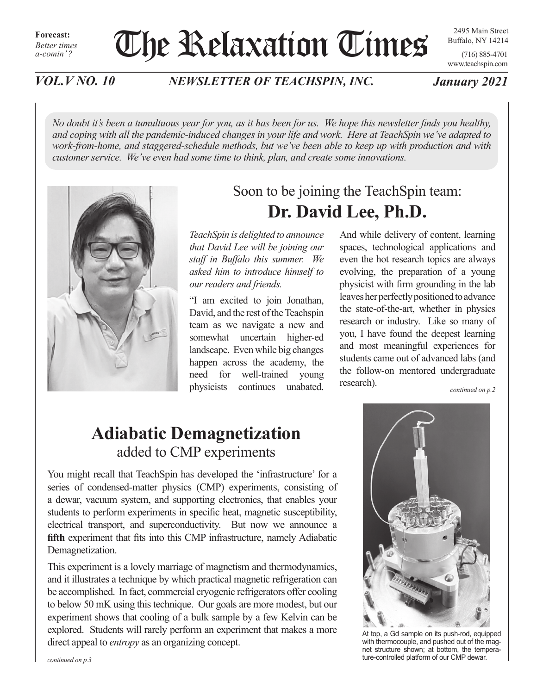# The Relaxation Times

2495 Main Street Buffalo, NY 14214

(716) 885-4701 www.teachspin.com

*VOL.V NO. 10 NEWSLETTER OF TEACHSPIN, INC. January 2021*

*No doubt it's been a tumultuous year for you, as it has been for us. We hope this newsletter finds you healthy, and coping with all the pandemic-induced changes in your life and work. Here at TeachSpin we've adapted to work-from-home, and staggered-schedule methods, but we've been able to keep up with production and with customer service. We've even had some time to think, plan, and create some innovations.*



## Soon to be joining the TeachSpin team: **Dr. David Lee, Ph.D.**

*TeachSpin is delighted to announce that David Lee will be joining our staff in Buffalo this summer. We asked him to introduce himself to our readers and friends.*

"I am excited to join Jonathan, David, and the rest of the Teachspin team as we navigate a new and somewhat uncertain higher-ed landscape. Even while big changes happen across the academy, the need for well-trained young physicists continues unabated.

And while delivery of content, learning spaces, technological applications and even the hot research topics are always evolving, the preparation of a young physicist with firm grounding in the lab leaves her perfectly positioned to advance the state-of-the-art, whether in physics research or industry. Like so many of you, I have found the deepest learning and most meaningful experiences for students came out of advanced labs (and the follow-on mentored undergraduate research). *continued on p.2*

# **Adiabatic Demagnetization** added to CMP experiments

You might recall that TeachSpin has developed the 'infrastructure' for a series of condensed-matter physics (CMP) experiments, consisting of a dewar, vacuum system, and supporting electronics, that enables your students to perform experiments in specific heat, magnetic susceptibility, electrical transport, and superconductivity. But now we announce a **fifth** experiment that fits into this CMP infrastructure, namely Adiabatic Demagnetization.

This experiment is a lovely marriage of magnetism and thermodynamics, and it illustrates a technique by which practical magnetic refrigeration can be accomplished. In fact, commercial cryogenic refrigerators offer cooling to below 50 mK using this technique. Our goals are more modest, but our experiment shows that cooling of a bulk sample by a few Kelvin can be explored. Students will rarely perform an experiment that makes a more direct appeal to *entropy* as an organizing concept.



At top, a Gd sample on its push-rod, equipped with thermocouple, and pushed out of the magnet structure shown; at bottom, the temperature-controlled platform of our CMP dewar.

*continued on p.3*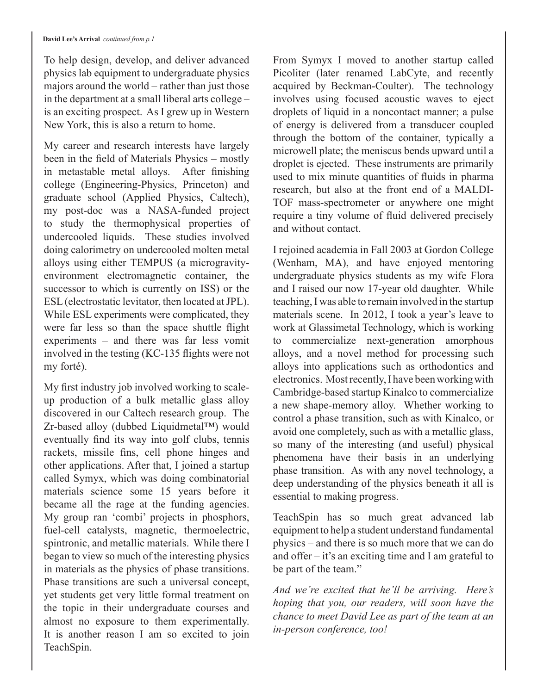To help design, develop, and deliver advanced physics lab equipment to undergraduate physics majors around the world – rather than just those in the department at a small liberal arts college – is an exciting prospect. As I grew up in Western New York, this is also a return to home.

My career and research interests have largely been in the field of Materials Physics – mostly in metastable metal alloys. After finishing college (Engineering-Physics, Princeton) and graduate school (Applied Physics, Caltech), my post-doc was a NASA-funded project to study the thermophysical properties of undercooled liquids. These studies involved doing calorimetry on undercooled molten metal alloys using either TEMPUS (a microgravityenvironment electromagnetic container, the successor to which is currently on ISS) or the ESL (electrostatic levitator, then located at JPL). While ESL experiments were complicated, they were far less so than the space shuttle flight experiments – and there was far less vomit involved in the testing (KC-135 flights were not my forté).

My first industry job involved working to scaleup production of a bulk metallic glass alloy discovered in our Caltech research group. The Zr-based alloy (dubbed Liquidmetal™) would eventually find its way into golf clubs, tennis rackets, missile fins, cell phone hinges and other applications. After that, I joined a startup called Symyx, which was doing combinatorial materials science some 15 years before it became all the rage at the funding agencies. My group ran 'combi' projects in phosphors, fuel-cell catalysts, magnetic, thermoelectric, spintronic, and metallic materials. While there I began to view so much of the interesting physics in materials as the physics of phase transitions. Phase transitions are such a universal concept, yet students get very little formal treatment on the topic in their undergraduate courses and almost no exposure to them experimentally. It is another reason I am so excited to join TeachSpin.

From Symyx I moved to another startup called Picoliter (later renamed LabCyte, and recently acquired by Beckman-Coulter). The technology involves using focused acoustic waves to eject droplets of liquid in a noncontact manner; a pulse of energy is delivered from a transducer coupled through the bottom of the container, typically a microwell plate; the meniscus bends upward until a droplet is ejected. These instruments are primarily used to mix minute quantities of fluids in pharma research, but also at the front end of a MALDI-TOF mass-spectrometer or anywhere one might require a tiny volume of fluid delivered precisely and without contact.

I rejoined academia in Fall 2003 at Gordon College (Wenham, MA), and have enjoyed mentoring undergraduate physics students as my wife Flora and I raised our now 17-year old daughter. While teaching, I was able to remain involved in the startup materials scene. In 2012, I took a year's leave to work at Glassimetal Technology, which is working to commercialize next-generation amorphous alloys, and a novel method for processing such alloys into applications such as orthodontics and electronics. Most recently, I have been working with Cambridge-based startup Kinalco to commercialize a new shape-memory alloy. Whether working to control a phase transition, such as with Kinalco, or avoid one completely, such as with a metallic glass, so many of the interesting (and useful) physical phenomena have their basis in an underlying phase transition. As with any novel technology, a deep understanding of the physics beneath it all is essential to making progress.

TeachSpin has so much great advanced lab equipment to help a student understand fundamental physics – and there is so much more that we can do and offer – it's an exciting time and I am grateful to be part of the team."

*And we're excited that he'll be arriving. Here's hoping that you, our readers, will soon have the chance to meet David Lee as part of the team at an in-person conference, too!*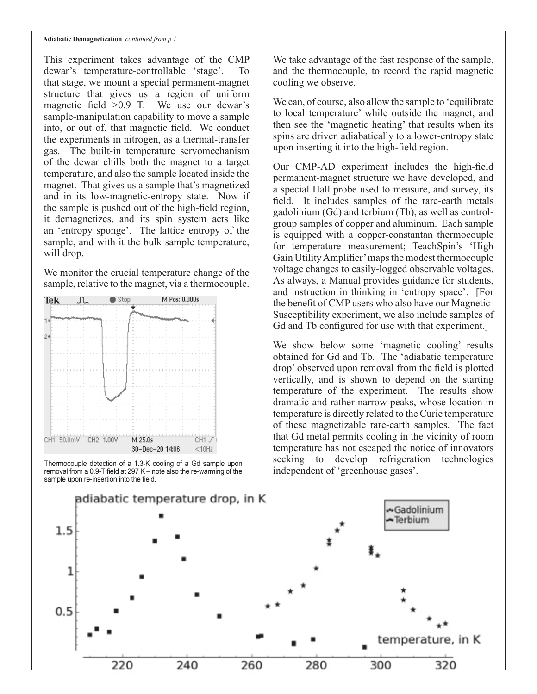This experiment takes advantage of the CMP dewar's temperature-controllable 'stage'. To that stage, we mount a special permanent-magnet structure that gives us a region of uniform magnetic field >0.9 T. We use our dewar's sample-manipulation capability to move a sample into, or out of, that magnetic field. We conduct the experiments in nitrogen, as a thermal-transfer gas. The built-in temperature servomechanism of the dewar chills both the magnet to a target temperature, and also the sample located inside the magnet. That gives us a sample that's magnetized and in its low-magnetic-entropy state. Now if the sample is pushed out of the high-field region, it demagnetizes, and its spin system acts like an 'entropy sponge'. The lattice entropy of the sample, and with it the bulk sample temperature, will drop.

We monitor the crucial temperature change of the sample, relative to the magnet, via a thermocouple.



Thermocouple detection of a 1.3-K cooling of a Gd sample upon removal from a 0.9-T field at 297 K – note also the re-warming of the sample upon re-insertion into the field.

We take advantage of the fast response of the sample, and the thermocouple, to record the rapid magnetic cooling we observe.

We can, of course, also allow the sample to 'equilibrate' to local temperature' while outside the magnet, and then see the 'magnetic heating' that results when its spins are driven adiabatically to a lower-entropy state upon inserting it into the high-field region.

Our CMP-AD experiment includes the high-field permanent-magnet structure we have developed, and a special Hall probe used to measure, and survey, its field. It includes samples of the rare-earth metals gadolinium (Gd) and terbium (Tb), as well as controlgroup samples of copper and aluminum. Each sample is equipped with a copper-constantan thermocouple for temperature measurement; TeachSpin's 'High Gain Utility Amplifier' maps the modest thermocouple voltage changes to easily-logged observable voltages. As always, a Manual provides guidance for students, and instruction in thinking in 'entropy space'. [For the benefit of CMP users who also have our Magnetic-Susceptibility experiment, we also include samples of Gd and Tb configured for use with that experiment.]

We show below some 'magnetic cooling' results obtained for Gd and Tb. The 'adiabatic temperature drop' observed upon removal from the field is plotted vertically, and is shown to depend on the starting temperature of the experiment. The results show dramatic and rather narrow peaks, whose location in temperature is directly related to the Curie temperature of these magnetizable rare-earth samples. The fact that Gd metal permits cooling in the vicinity of room temperature has not escaped the notice of innovators seeking to develop refrigeration technologies independent of 'greenhouse gases'.